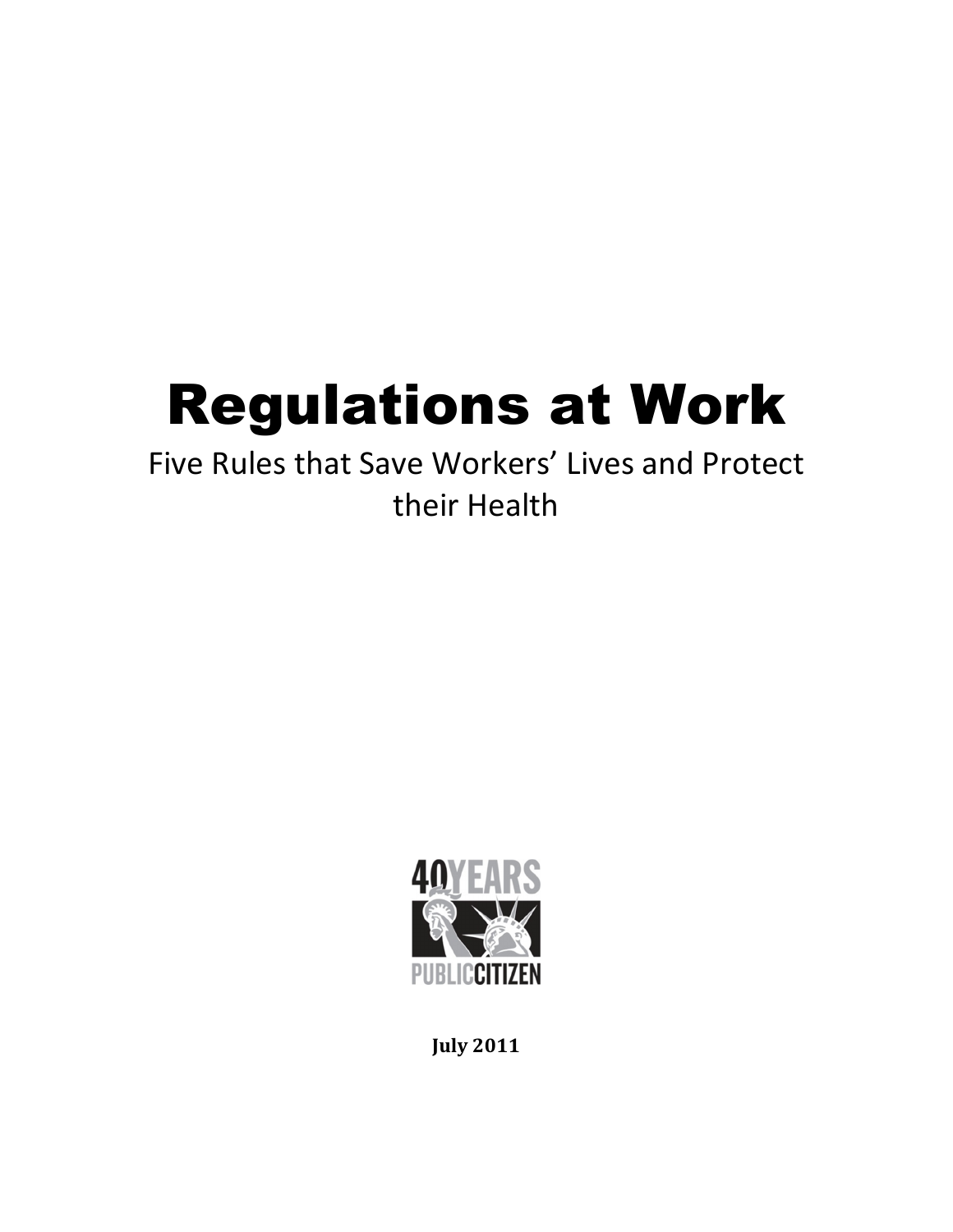# Regulations at Work

## Five Rules that Save Workers' Lives and Protect their Health



July 2011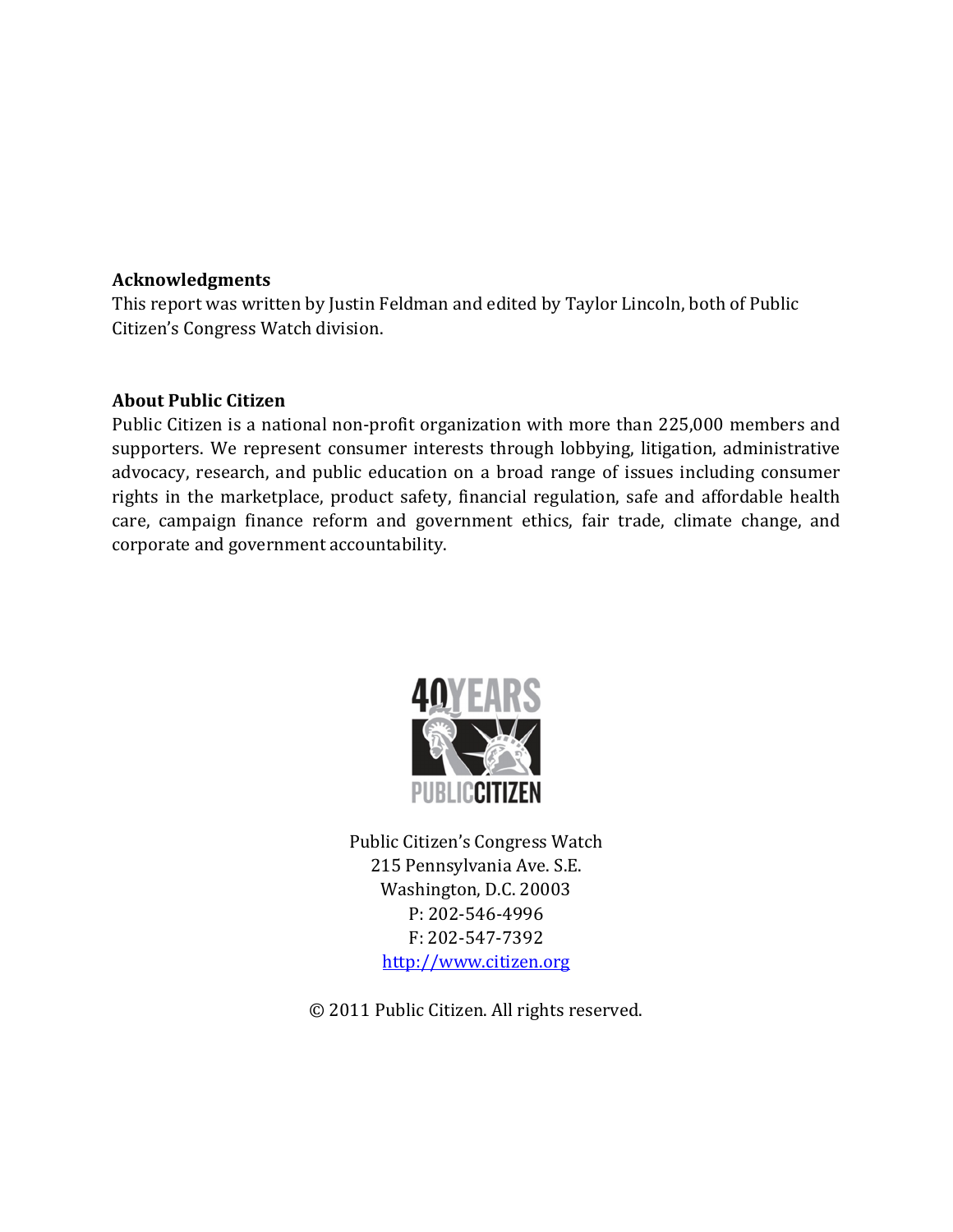#### Acknowledgments

This report was written by Justin Feldman and edited by Taylor Lincoln, both of Public Citizen's Congress Watch division.

#### About Public Citizen

Public Citizen is a national non-profit organization with more than 225,000 members and supporters. We represent consumer interests through lobbying, litigation, administrative advocacy, research, and public education on a broad range of issues including consumer rights in the marketplace, product safety, financial regulation, safe and affordable health care, campaign finance reform and government ethics, fair trade, climate change, and corporate and government accountability.



Public Citizen's Congress Watch 215 Pennsylvania Ave. S.E. Washington, D.C. 20003 P: 202-546-4996 F: 202-547-7392 http://www.citizen.org

© 2011 Public Citizen. All rights reserved.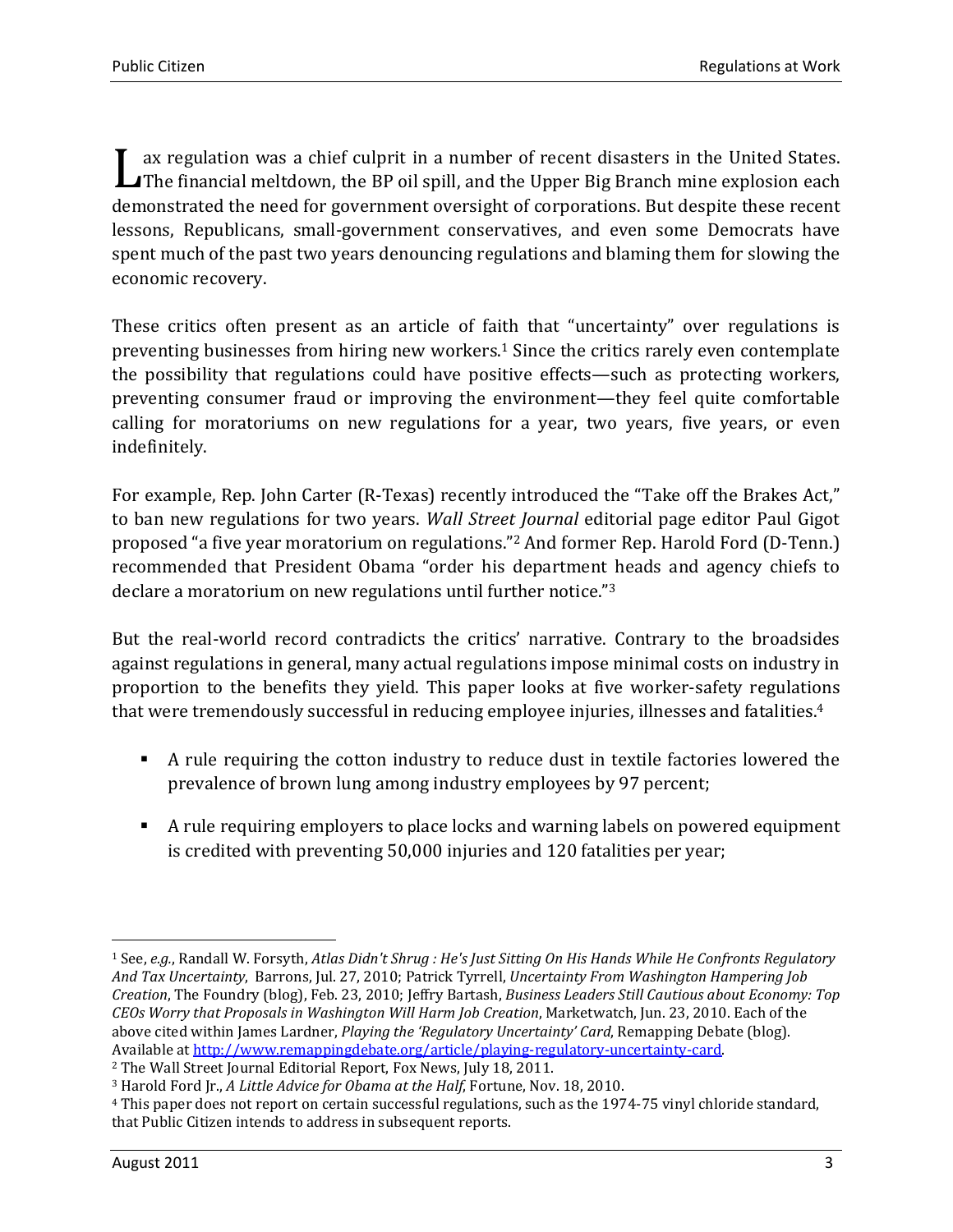ax regulation was a chief culprit in a number of recent disasters in the United States. I ax regulation was a chief culprit in a number of recent disasters in the United States.<br>The financial meltdown, the BP oil spill, and the Upper Big Branch mine explosion each demonstrated the need for government oversight of corporations. But despite these recent lessons, Republicans, small-government conservatives, and even some Democrats have spent much of the past two years denouncing regulations and blaming them for slowing the economic recovery.

These critics often present as an article of faith that "uncertainty" over regulations is preventing businesses from hiring new workers.1 Since the critics rarely even contemplate the possibility that regulations could have positive effects—such as protecting workers, preventing consumer fraud or improving the environment—they feel quite comfortable calling for moratoriums on new regulations for a year, two years, five years, or even indefinitely.

For example, Rep. John Carter (R-Texas) recently introduced the "Take off the Brakes Act," to ban new regulations for two years. Wall Street Journal editorial page editor Paul Gigot proposed "a five year moratorium on regulations."2 And former Rep. Harold Ford (D-Tenn.) recommended that President Obama "order his department heads and agency chiefs to declare a moratorium on new regulations until further notice."<sup>3</sup>

But the real-world record contradicts the critics' narrative. Contrary to the broadsides against regulations in general, many actual regulations impose minimal costs on industry in proportion to the benefits they yield. This paper looks at five worker-safety regulations that were tremendously successful in reducing employee injuries, illnesses and fatalities.<sup>4</sup>

- A rule requiring the cotton industry to reduce dust in textile factories lowered the prevalence of brown lung among industry employees by 97 percent;
- A rule requiring employers to place locks and warning labels on powered equipment is credited with preventing 50,000 injuries and 120 fatalities per year;

 $\overline{\phantom{a}}$ <sup>1</sup> See, e.g., Randall W. Forsyth, Atlas Didn't Shrug : He's Just Sitting On His Hands While He Confronts Regulatory And Tax Uncertainty, Barrons, Jul. 27, 2010; Patrick Tyrrell, Uncertainty From Washington Hampering Job Creation, The Foundry (blog), Feb. 23, 2010; Jeffry Bartash, Business Leaders Still Cautious about Economy: Top CEOs Worry that Proposals in Washington Will Harm Job Creation, Marketwatch, Jun. 23, 2010. Each of the above cited within James Lardner, Playing the 'Regulatory Uncertainty' Card, Remapping Debate (blog). Available at http://www.remappingdebate.org/article/playing-regulatory-uncertainty-card.

<sup>2</sup> The Wall Street Journal Editorial Report, Fox News, July 18, 2011.

<sup>&</sup>lt;sup>3</sup> Harold Ford Jr., A Little Advice for Obama at the Half, Fortune, Nov. 18, 2010.

<sup>4</sup> This paper does not report on certain successful regulations, such as the 1974-75 vinyl chloride standard, that Public Citizen intends to address in subsequent reports.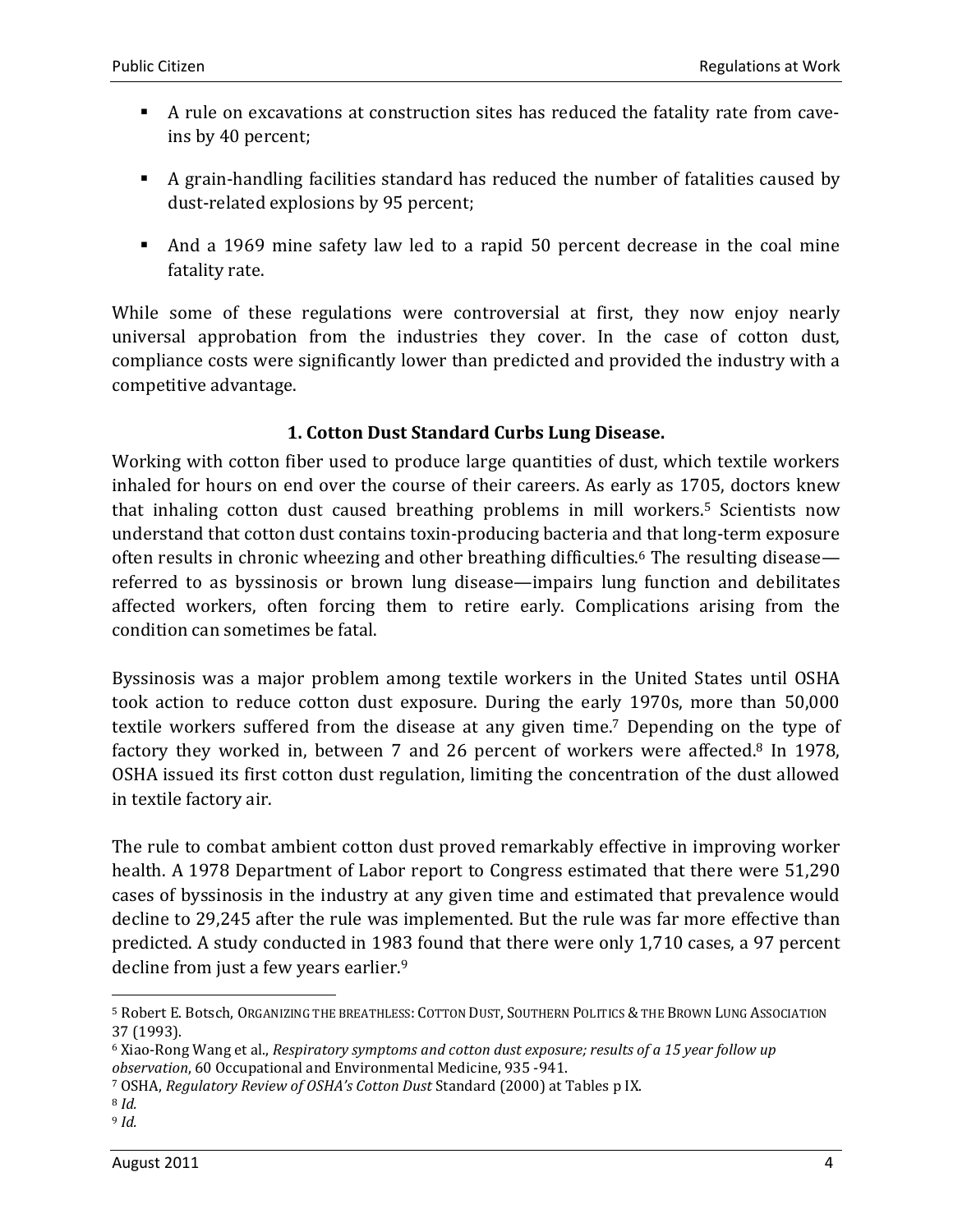- A rule on excavations at construction sites has reduced the fatality rate from caveins by 40 percent;
- A grain-handling facilities standard has reduced the number of fatalities caused by dust-related explosions by 95 percent;
- And a 1969 mine safety law led to a rapid 50 percent decrease in the coal mine fatality rate.

While some of these regulations were controversial at first, they now enjoy nearly universal approbation from the industries they cover. In the case of cotton dust, compliance costs were significantly lower than predicted and provided the industry with a competitive advantage.

### 1. Cotton Dust Standard Curbs Lung Disease.

Working with cotton fiber used to produce large quantities of dust, which textile workers inhaled for hours on end over the course of their careers. As early as 1705, doctors knew that inhaling cotton dust caused breathing problems in mill workers.5 Scientists now understand that cotton dust contains toxin-producing bacteria and that long-term exposure often results in chronic wheezing and other breathing difficulties.6 The resulting disease referred to as byssinosis or brown lung disease—impairs lung function and debilitates affected workers, often forcing them to retire early. Complications arising from the condition can sometimes be fatal.

Byssinosis was a major problem among textile workers in the United States until OSHA took action to reduce cotton dust exposure. During the early 1970s, more than 50,000 textile workers suffered from the disease at any given time.7 Depending on the type of factory they worked in, between 7 and 26 percent of workers were affected.8 In 1978, OSHA issued its first cotton dust regulation, limiting the concentration of the dust allowed in textile factory air.

The rule to combat ambient cotton dust proved remarkably effective in improving worker health. A 1978 Department of Labor report to Congress estimated that there were 51,290 cases of byssinosis in the industry at any given time and estimated that prevalence would decline to 29,245 after the rule was implemented. But the rule was far more effective than predicted. A study conducted in 1983 found that there were only 1,710 cases, a 97 percent decline from just a few years earlier.<sup>9</sup>

 $\overline{\phantom{a}}$ 

<sup>5</sup> Robert E. Botsch, ORGANIZING THE BREATHLESS: COTTON DUST, SOUTHERN POLITICS & THE BROWN LUNG ASSOCIATION 37 (1993).

<sup>6</sup> Xiao-Rong Wang et al., Respiratory symptoms and cotton dust exposure; results of a 15 year follow up observation, 60 Occupational and Environmental Medicine, 935 -941.

<sup>7</sup> OSHA, Regulatory Review of OSHA's Cotton Dust Standard (2000) at Tables p IX.

<sup>8</sup> Id.

<sup>9</sup> Id.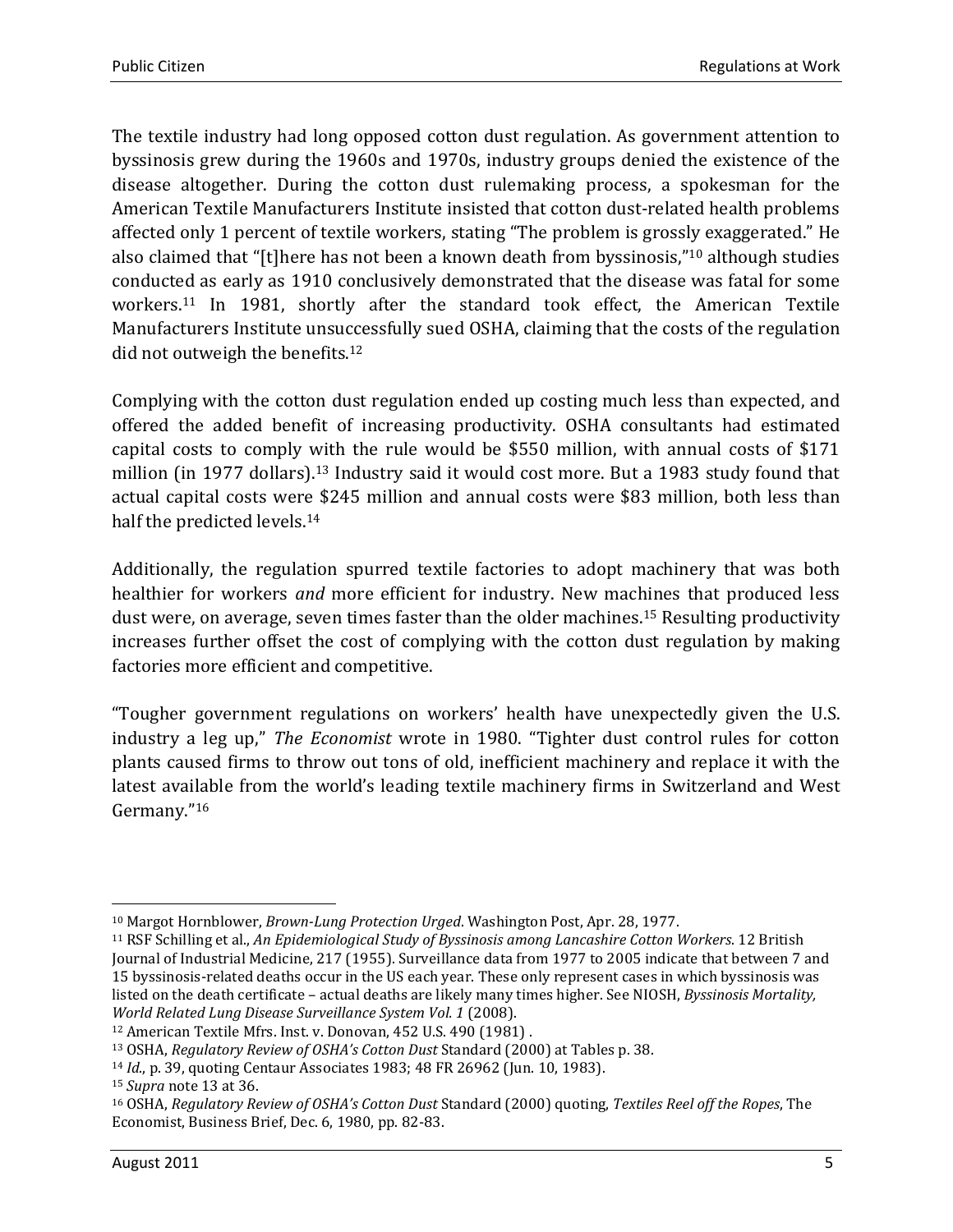The textile industry had long opposed cotton dust regulation. As government attention to byssinosis grew during the 1960s and 1970s, industry groups denied the existence of the disease altogether. During the cotton dust rulemaking process, a spokesman for the American Textile Manufacturers Institute insisted that cotton dust-related health problems affected only 1 percent of textile workers, stating "The problem is grossly exaggerated." He also claimed that "[t]here has not been a known death from byssinosis,"10 although studies conducted as early as 1910 conclusively demonstrated that the disease was fatal for some workers.11 In 1981, shortly after the standard took effect, the American Textile Manufacturers Institute unsuccessfully sued OSHA, claiming that the costs of the regulation did not outweigh the benefits.<sup>12</sup>

Complying with the cotton dust regulation ended up costing much less than expected, and offered the added benefit of increasing productivity. OSHA consultants had estimated capital costs to comply with the rule would be \$550 million, with annual costs of \$171 million (in 1977 dollars).13 Industry said it would cost more. But a 1983 study found that actual capital costs were \$245 million and annual costs were \$83 million, both less than half the predicted levels.<sup>14</sup>

Additionally, the regulation spurred textile factories to adopt machinery that was both healthier for workers and more efficient for industry. New machines that produced less dust were, on average, seven times faster than the older machines.15 Resulting productivity increases further offset the cost of complying with the cotton dust regulation by making factories more efficient and competitive.

"Tougher government regulations on workers' health have unexpectedly given the U.S. industry a leg up," The Economist wrote in 1980. "Tighter dust control rules for cotton plants caused firms to throw out tons of old, inefficient machinery and replace it with the latest available from the world's leading textile machinery firms in Switzerland and West Germany."<sup>16</sup>

l

<sup>&</sup>lt;sup>10</sup> Margot Hornblower, *Brown-Lung Protection Urged*. Washington Post, Apr. 28, 1977.

<sup>11</sup> RSF Schilling et al., An Epidemiological Study of Byssinosis among Lancashire Cotton Workers. 12 British Journal of Industrial Medicine, 217 (1955). Surveillance data from 1977 to 2005 indicate that between 7 and 15 byssinosis-related deaths occur in the US each year. These only represent cases in which byssinosis was listed on the death certificate – actual deaths are likely many times higher. See NIOSH, Byssinosis Mortality, World Related Lung Disease Surveillance System Vol. 1 (2008).

<sup>12</sup> American Textile Mfrs. Inst. v. Donovan, 452 U.S. 490 (1981) .

<sup>13</sup> OSHA, Regulatory Review of OSHA's Cotton Dust Standard (2000) at Tables p. 38.

<sup>14</sup> Id., p. 39, quoting Centaur Associates 1983; 48 FR 26962 (Jun. 10, 1983).

<sup>15</sup> Supra note 13 at 36.

<sup>&</sup>lt;sup>16</sup> OSHA, Regulatory Review of OSHA's Cotton Dust Standard (2000) quoting, Textiles Reel off the Ropes, The Economist, Business Brief, Dec. 6, 1980, pp. 82-83.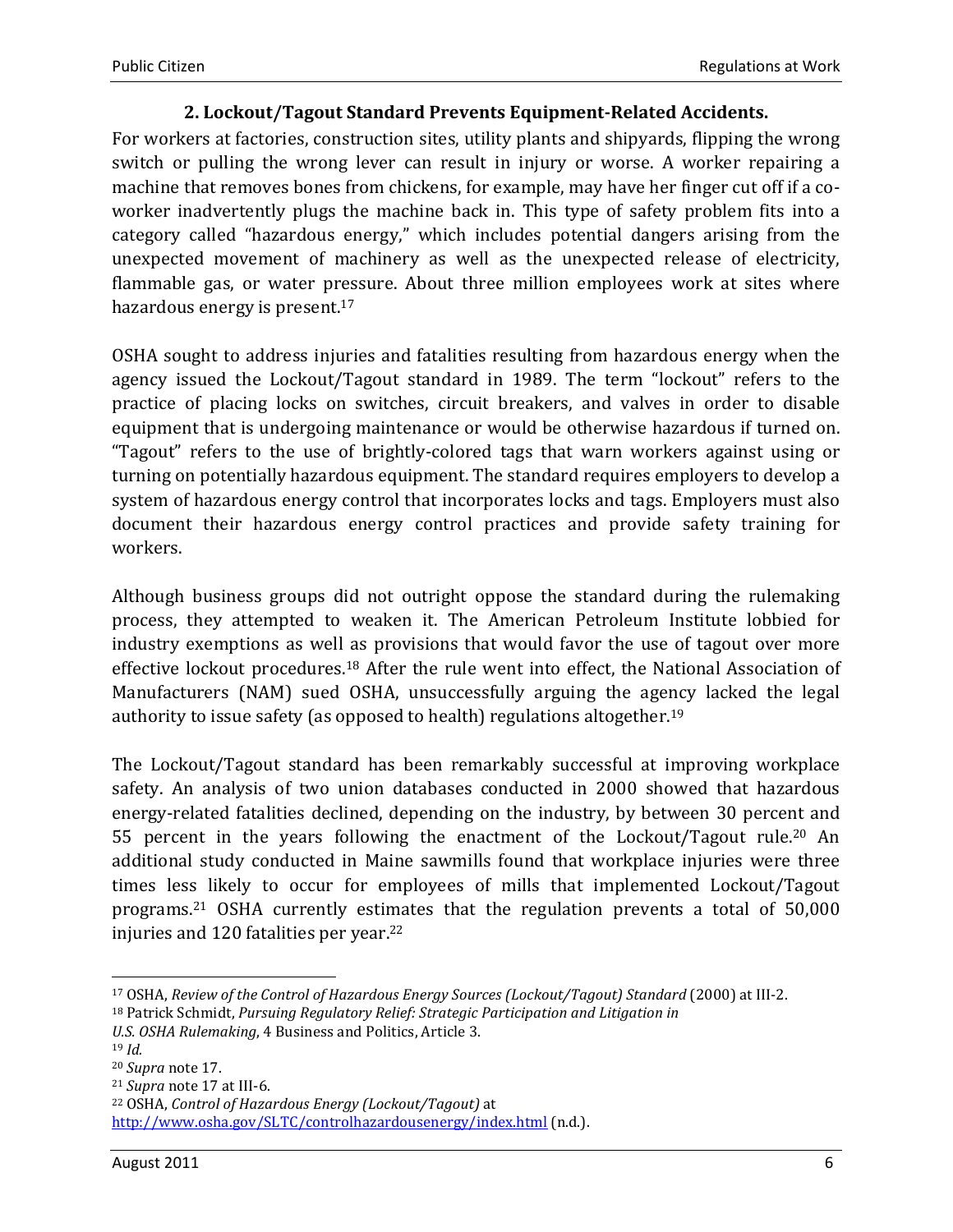#### 2. Lockout/Tagout Standard Prevents Equipment-Related Accidents.

For workers at factories, construction sites, utility plants and shipyards, flipping the wrong switch or pulling the wrong lever can result in injury or worse. A worker repairing a machine that removes bones from chickens, for example, may have her finger cut off if a coworker inadvertently plugs the machine back in. This type of safety problem fits into a category called "hazardous energy," which includes potential dangers arising from the unexpected movement of machinery as well as the unexpected release of electricity, flammable gas, or water pressure. About three million employees work at sites where hazardous energy is present.<sup>17</sup>

OSHA sought to address injuries and fatalities resulting from hazardous energy when the agency issued the Lockout/Tagout standard in 1989. The term "lockout" refers to the practice of placing locks on switches, circuit breakers, and valves in order to disable equipment that is undergoing maintenance or would be otherwise hazardous if turned on. "Tagout" refers to the use of brightly-colored tags that warn workers against using or turning on potentially hazardous equipment. The standard requires employers to develop a system of hazardous energy control that incorporates locks and tags. Employers must also document their hazardous energy control practices and provide safety training for workers.

Although business groups did not outright oppose the standard during the rulemaking process, they attempted to weaken it. The American Petroleum Institute lobbied for industry exemptions as well as provisions that would favor the use of tagout over more effective lockout procedures.18 After the rule went into effect, the National Association of Manufacturers (NAM) sued OSHA, unsuccessfully arguing the agency lacked the legal authority to issue safety (as opposed to health) regulations altogether.<sup>19</sup>

The Lockout/Tagout standard has been remarkably successful at improving workplace safety. An analysis of two union databases conducted in 2000 showed that hazardous energy-related fatalities declined, depending on the industry, by between 30 percent and 55 percent in the years following the enactment of the Lockout/Tagout rule.20 An additional study conducted in Maine sawmills found that workplace injuries were three times less likely to occur for employees of mills that implemented Lockout/Tagout programs.21 OSHA currently estimates that the regulation prevents a total of 50,000 injuries and 120 fatalities per year.<sup>22</sup>

 $\overline{\phantom{a}}$ 

<sup>17</sup> OSHA, Review of the Control of Hazardous Energy Sources (Lockout/Tagout) Standard (2000) at III-2.

<sup>&</sup>lt;sup>18</sup> Patrick Schmidt, Pursuing Regulatory Relief: Strategic Participation and Litigation in

U.S. OSHA Rulemaking, 4 Business and Politics, Article 3.

<sup>19</sup> Id.

<sup>20</sup> Supra note 17.

<sup>21</sup> Supra note 17 at III-6.

<sup>22</sup> OSHA, Control of Hazardous Energy (Lockout/Tagout) at

http://www.osha.gov/SLTC/controlhazardousenergy/index.html (n.d.).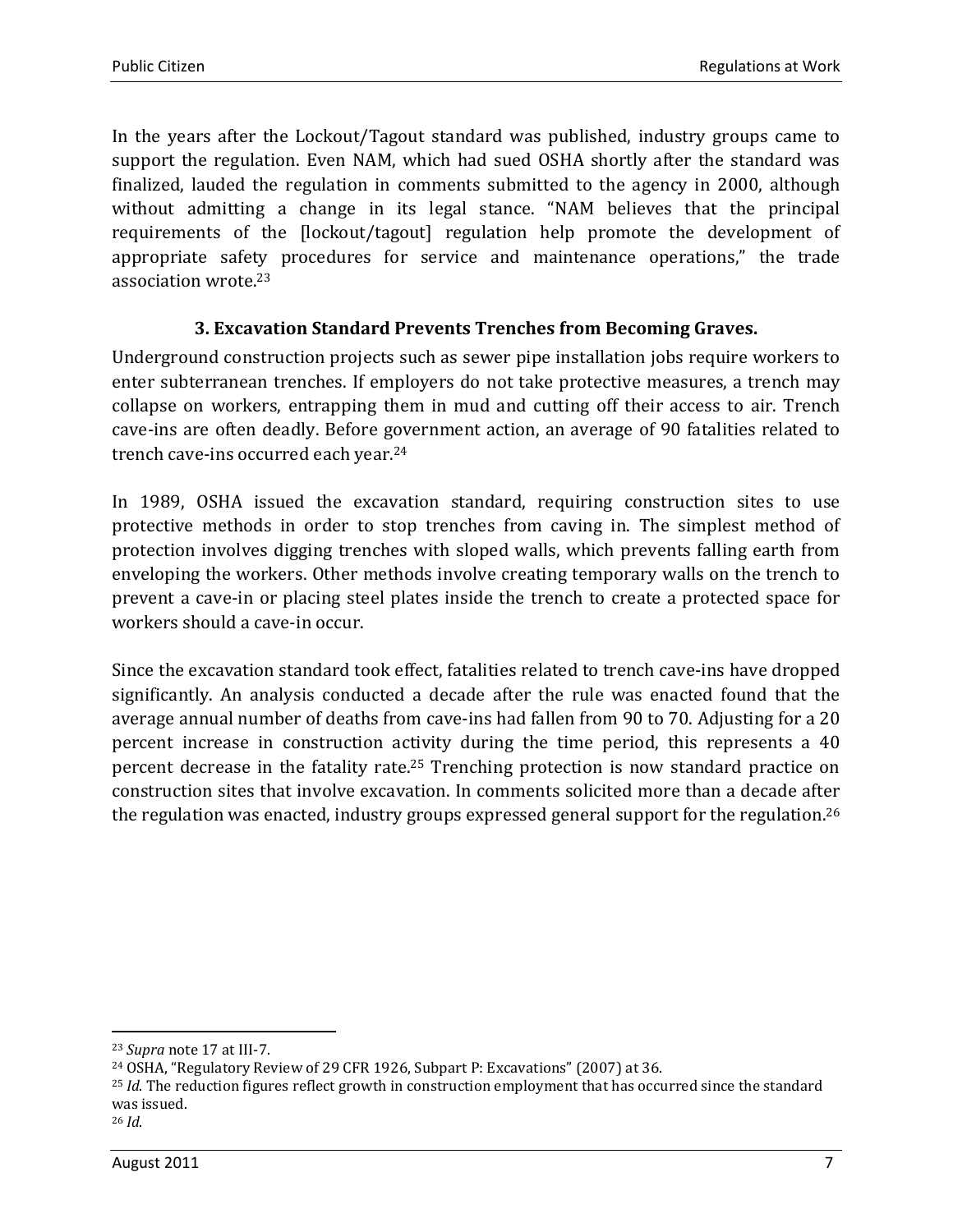In the years after the Lockout/Tagout standard was published, industry groups came to support the regulation. Even NAM, which had sued OSHA shortly after the standard was finalized, lauded the regulation in comments submitted to the agency in 2000, although without admitting a change in its legal stance. "NAM believes that the principal requirements of the [lockout/tagout] regulation help promote the development of appropriate safety procedures for service and maintenance operations," the trade association wrote.<sup>23</sup>

#### 3. Excavation Standard Prevents Trenches from Becoming Graves.

Underground construction projects such as sewer pipe installation jobs require workers to enter subterranean trenches. If employers do not take protective measures, a trench may collapse on workers, entrapping them in mud and cutting off their access to air. Trench cave-ins are often deadly. Before government action, an average of 90 fatalities related to trench cave-ins occurred each year.<sup>24</sup>

In 1989, OSHA issued the excavation standard, requiring construction sites to use protective methods in order to stop trenches from caving in. The simplest method of protection involves digging trenches with sloped walls, which prevents falling earth from enveloping the workers. Other methods involve creating temporary walls on the trench to prevent a cave-in or placing steel plates inside the trench to create a protected space for workers should a cave-in occur.

Since the excavation standard took effect, fatalities related to trench cave-ins have dropped significantly. An analysis conducted a decade after the rule was enacted found that the average annual number of deaths from cave-ins had fallen from 90 to 70. Adjusting for a 20 percent increase in construction activity during the time period, this represents a 40 percent decrease in the fatality rate.25 Trenching protection is now standard practice on construction sites that involve excavation. In comments solicited more than a decade after the regulation was enacted, industry groups expressed general support for the regulation.<sup>26</sup>

l

<sup>23</sup> Supra note 17 at III-7.

<sup>24</sup> OSHA, "Regulatory Review of 29 CFR 1926, Subpart P: Excavations" (2007) at 36.

 $^{25}$  *Id*. The reduction figures reflect growth in construction employment that has occurred since the standard was issued.

 $26$  *Id.*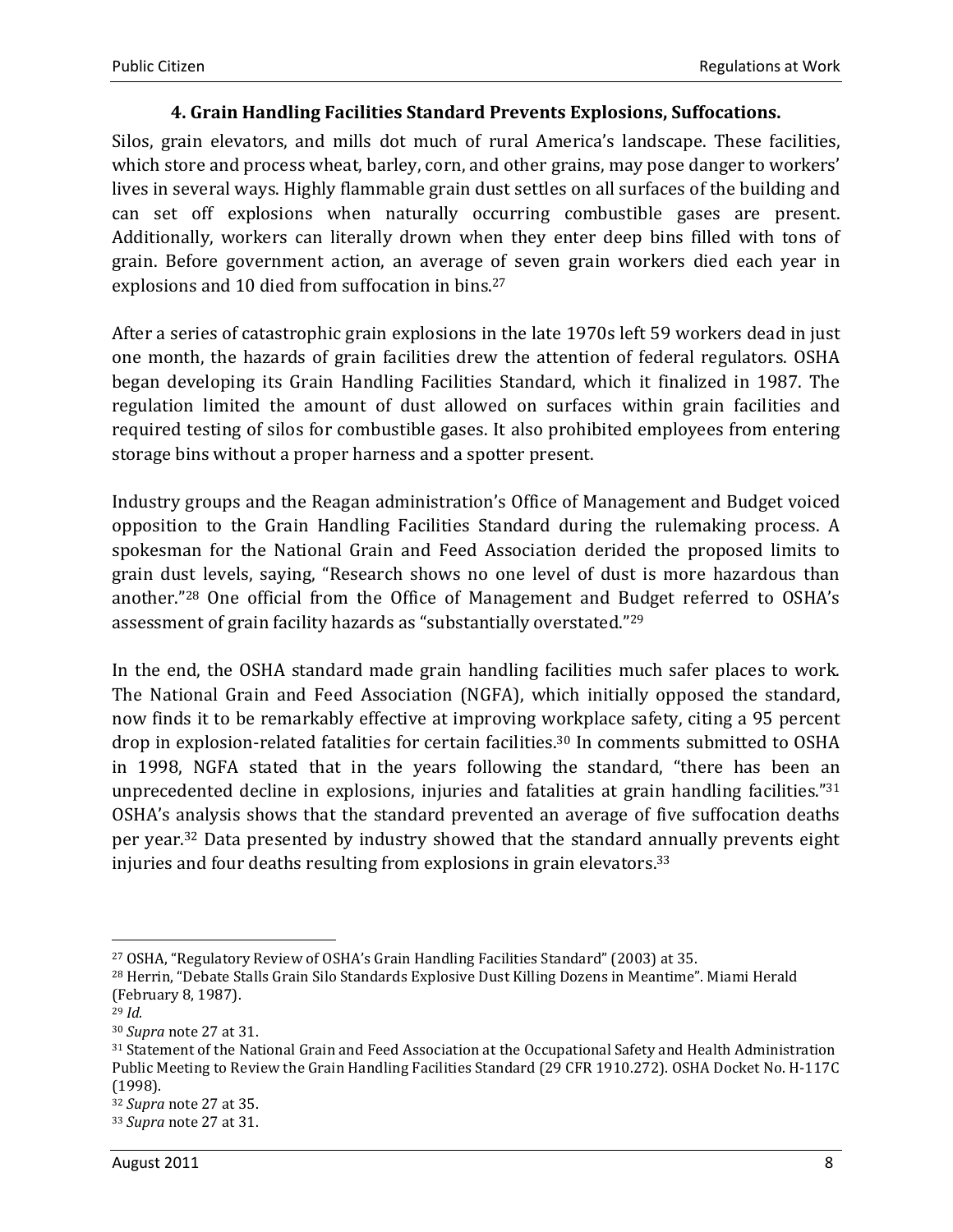#### 4. Grain Handling Facilities Standard Prevents Explosions, Suffocations.

Silos, grain elevators, and mills dot much of rural America's landscape. These facilities, which store and process wheat, barley, corn, and other grains, may pose danger to workers' lives in several ways. Highly flammable grain dust settles on all surfaces of the building and can set off explosions when naturally occurring combustible gases are present. Additionally, workers can literally drown when they enter deep bins filled with tons of grain. Before government action, an average of seven grain workers died each year in explosions and 10 died from suffocation in bins.<sup>27</sup>

After a series of catastrophic grain explosions in the late 1970s left 59 workers dead in just one month, the hazards of grain facilities drew the attention of federal regulators. OSHA began developing its Grain Handling Facilities Standard, which it finalized in 1987. The regulation limited the amount of dust allowed on surfaces within grain facilities and required testing of silos for combustible gases. It also prohibited employees from entering storage bins without a proper harness and a spotter present.

Industry groups and the Reagan administration's Office of Management and Budget voiced opposition to the Grain Handling Facilities Standard during the rulemaking process. A spokesman for the National Grain and Feed Association derided the proposed limits to grain dust levels, saying, "Research shows no one level of dust is more hazardous than another."28 One official from the Office of Management and Budget referred to OSHA's assessment of grain facility hazards as "substantially overstated."<sup>29</sup>

In the end, the OSHA standard made grain handling facilities much safer places to work. The National Grain and Feed Association (NGFA), which initially opposed the standard, now finds it to be remarkably effective at improving workplace safety, citing a 95 percent drop in explosion-related fatalities for certain facilities.30 In comments submitted to OSHA in 1998, NGFA stated that in the years following the standard, "there has been an unprecedented decline in explosions, injuries and fatalities at grain handling facilities."<sup>31</sup> OSHA's analysis shows that the standard prevented an average of five suffocation deaths per year.32 Data presented by industry showed that the standard annually prevents eight injuries and four deaths resulting from explosions in grain elevators.<sup>33</sup>

 $\overline{\phantom{a}}$ 

<sup>27</sup> OSHA, "Regulatory Review of OSHA's Grain Handling Facilities Standard" (2003) at 35.

<sup>28</sup> Herrin, "Debate Stalls Grain Silo Standards Explosive Dust Killing Dozens in Meantime". Miami Herald (February 8, 1987).

 $29$  *Id.* 

<sup>30</sup> Supra note 27 at 31.

<sup>31</sup> Statement of the National Grain and Feed Association at the Occupational Safety and Health Administration Public Meeting to Review the Grain Handling Facilities Standard (29 CFR 1910.272). OSHA Docket No. H-117C (1998).

<sup>32</sup> Supra note 27 at 35.

<sup>33</sup> Supra note 27 at 31.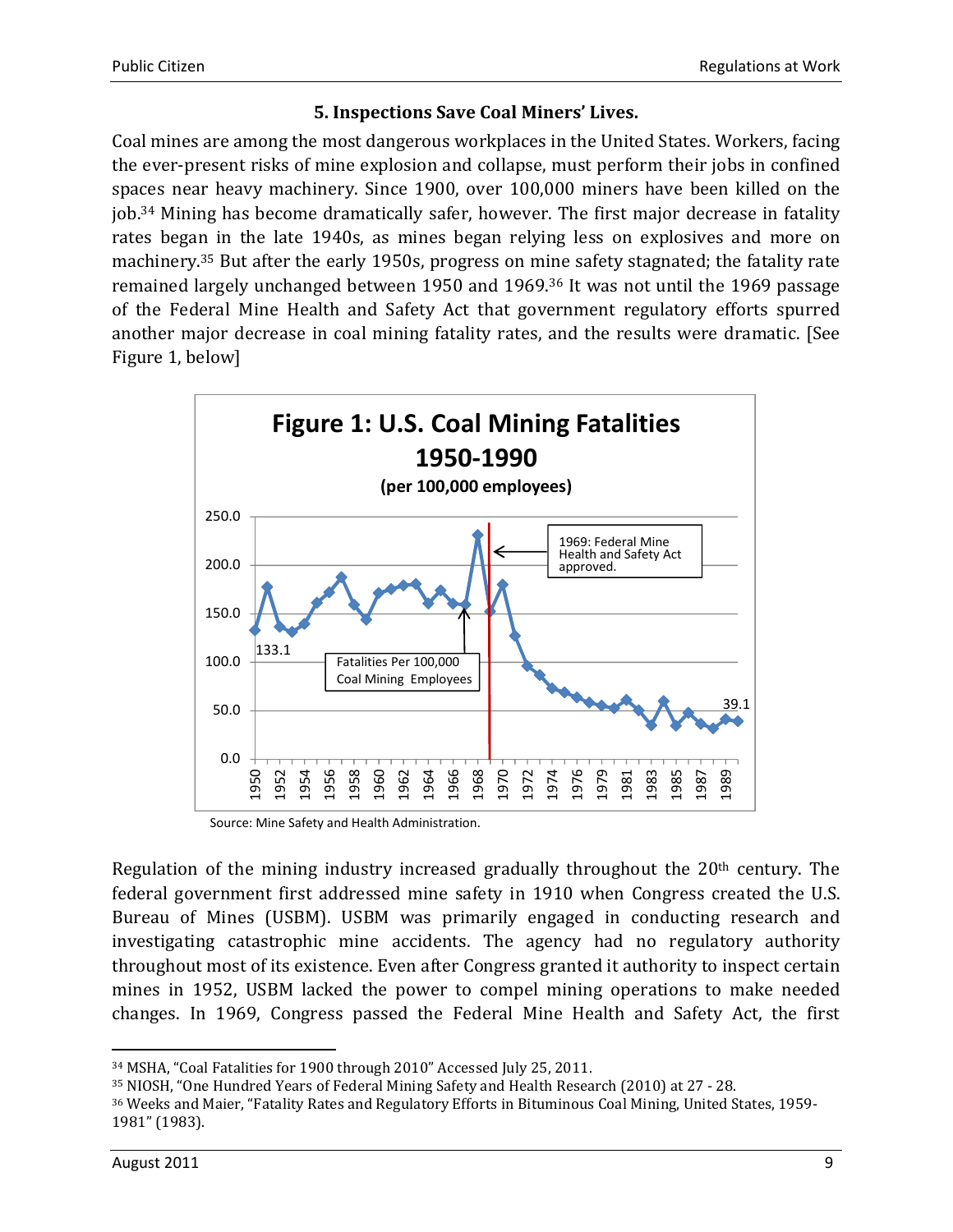#### 5. Inspections Save Coal Miners' Lives.

Coal mines are among the most dangerous workplaces in the United States. Workers, facing the ever-present risks of mine explosion and collapse, must perform their jobs in confined spaces near heavy machinery. Since 1900, over 100,000 miners have been killed on the job.34 Mining has become dramatically safer, however. The first major decrease in fatality rates began in the late 1940s, as mines began relying less on explosives and more on machinery.35 But after the early 1950s, progress on mine safety stagnated; the fatality rate remained largely unchanged between 1950 and 1969.36 It was not until the 1969 passage of the Federal Mine Health and Safety Act that government regulatory efforts spurred another major decrease in coal mining fatality rates, and the results were dramatic. [See Figure 1, below]



Source: Mine Safety and Health Administration.

Regulation of the mining industry increased gradually throughout the  $20<sup>th</sup>$  century. The federal government first addressed mine safety in 1910 when Congress created the U.S. Bureau of Mines (USBM). USBM was primarily engaged in conducting research and investigating catastrophic mine accidents. The agency had no regulatory authority throughout most of its existence. Even after Congress granted it authority to inspect certain mines in 1952, USBM lacked the power to compel mining operations to make needed changes. In 1969, Congress passed the Federal Mine Health and Safety Act, the first

l

<sup>34</sup> MSHA, "Coal Fatalities for 1900 through 2010" Accessed July 25, 2011.

<sup>35</sup> NIOSH, "One Hundred Years of Federal Mining Safety and Health Research (2010) at 27 - 28.

<sup>36</sup> Weeks and Maier, "Fatality Rates and Regulatory Efforts in Bituminous Coal Mining, United States, 1959- 1981" (1983).